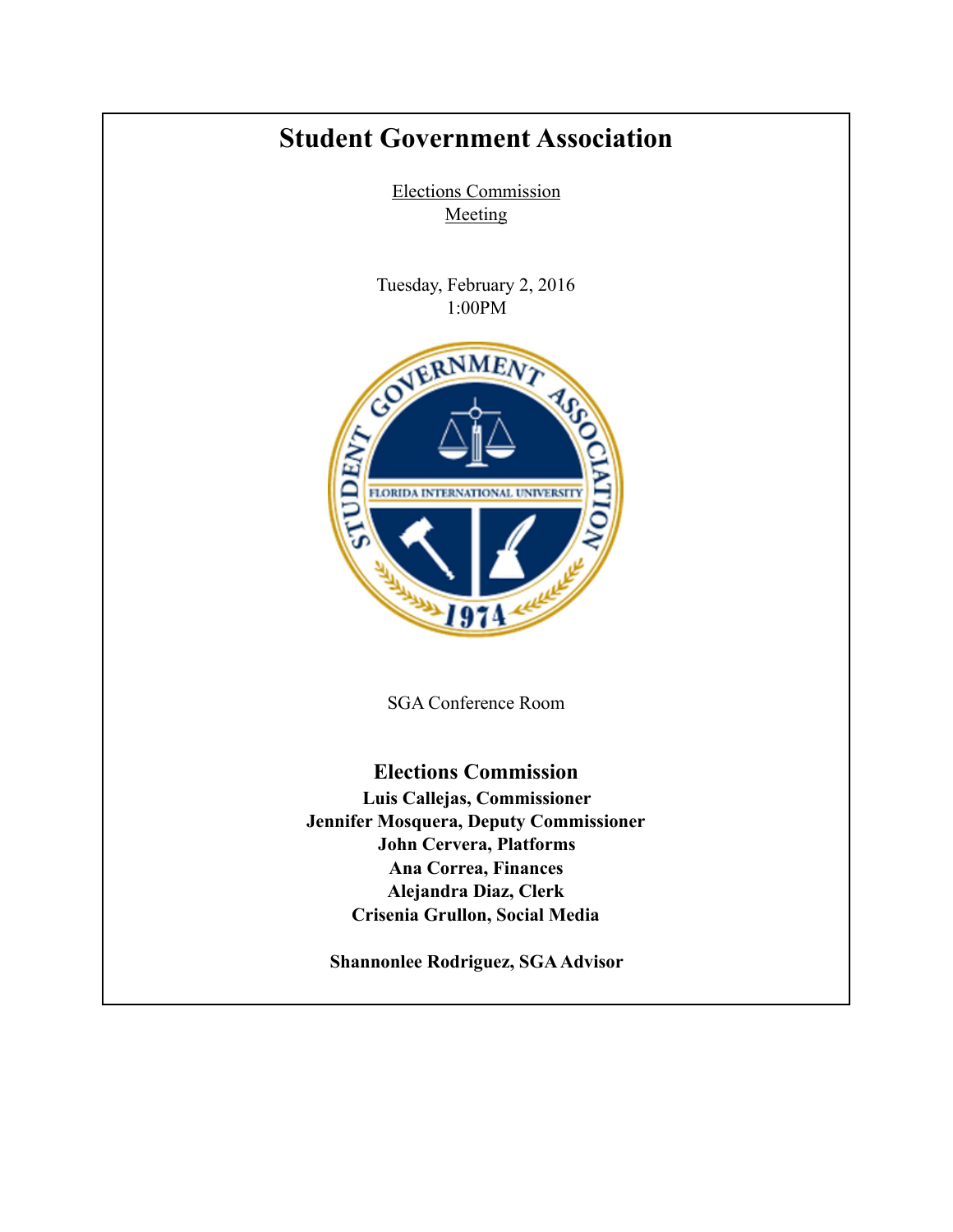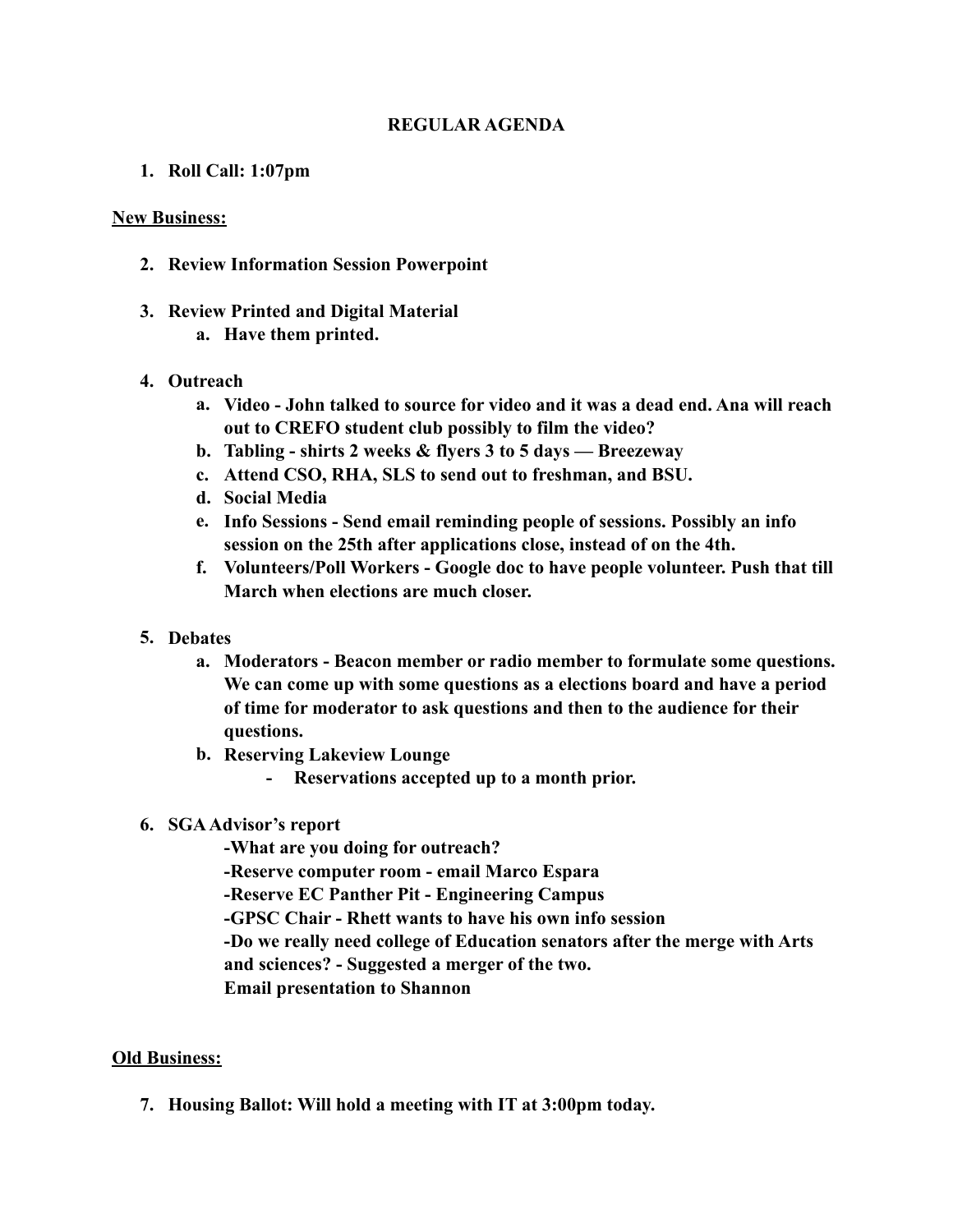## **REGULAR AGENDA**

**1. Roll Call: 1:07pm**

## **New Business:**

- **2. Review Information Session Powerpoint**
- **3. Review Printed and Digital Material** 
	- **a. Have them printed.**
- **4. Outreach** 
	- **a. Video John talked to source for video and it was a dead end. Ana will reach out to CREFO student club possibly to film the video?**
	- **b. Tabling shirts 2 weeks & flyers 3 to 5 days Breezeway**
	- **c. Attend CSO, RHA, SLS to send out to freshman, and BSU.**
	- **d. Social Media**
	- **e. Info Sessions Send email reminding people of sessions. Possibly an info session on the 25th after applications close, instead of on the 4th.**
	- **f. Volunteers/Poll Workers Google doc to have people volunteer. Push that till March when elections are much closer.**
- **5. Debates** 
	- **a. Moderators Beacon member or radio member to formulate some questions. We can come up with some questions as a elections board and have a period of time for moderator to ask questions and then to the audience for their questions.**
	- **b. Reserving Lakeview Lounge** 
		- **- Reservations accepted up to a month prior.**
- **6. SGA Advisor's report** 
	- **-What are you doing for outreach?**
	- **-Reserve computer room email Marco Espara**
	- **-Reserve EC Panther Pit Engineering Campus**
	- **-GPSC Chair Rhett wants to have his own info session**
	- **-Do we really need college of Education senators after the merge with Arts**
	- **and sciences? Suggested a merger of the two.**
	- **Email presentation to Shannon**

## **Old Business:**

**7. Housing Ballot: Will hold a meeting with IT at 3:00pm today.**